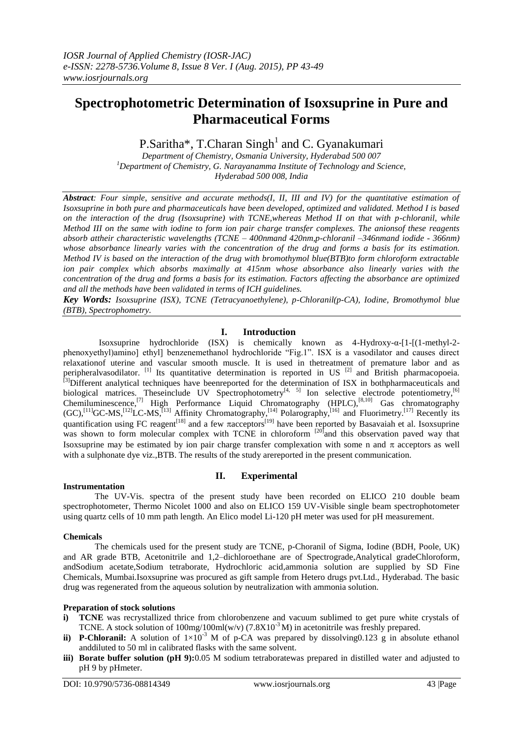# **Spectrophotometric Determination of Isoxsuprine in Pure and Pharmaceutical Forms**

P.Saritha\*, T.Charan Singh<sup>1</sup> and C. Gyanakumari

*Department of Chemistry, Osmania University, Hyderabad 500 007 <sup>1</sup>Department of Chemistry, G. Narayanamma Institute of Technology and Science, Hyderabad 500 008, India*

*Abstract: Four simple, sensitive and accurate methods(I, II, III and IV) for the quantitative estimation of Isoxsuprine in both pure and pharmaceuticals have been developed, optimized and validated. Method I is based on the interaction of the drug (Isoxsuprine) with TCNE,whereas Method II on that with p-chloranil, while Method III on the same with iodine to form ion pair charge transfer complexes. The anionsof these reagents absorb attheir characteristic wavelengths (TCNE – 400nmand 420nm,p-chloranil –346nmand iodide - 366nm) whose absorbance linearly varies with the concentration of the drug and forms a basis for its estimation. Method IV is based on the interaction of the drug with bromothymol blue(BTB)to form chloroform extractable ion pair complex which absorbs maximally at 415nm whose absorbance also linearly varies with the concentration of the drug and forms a basis for its estimation. Factors affecting the absorbance are optimized and all the methods have been validated in terms of ICH guidelines.*

*Key Words: Isoxsuprine (ISX), TCNE (Tetracyanoethylene), p-Chloranil(p-CA), Iodine, Bromothymol blue (BTB), Spectrophometry.*

## **I. Introduction**

Isoxsuprine hydrochloride (ISX) is chemically known as 4-Hydroxy-α-[1-[(1-methyl-2 phenoxyethyl)amino] ethyl] benzenemethanol hydrochloride "Fig.1". ISX is a vasodilator and causes direct relaxationof uterine and vascular smooth muscle. It is used in thetreatment of premature labor and as peripheralvasodilator. <sup>[1]</sup> Its quantitative determination is reported in US<sup>[2]</sup> and British pharmacopoeia. [3]Different analytical techniques have beenreported for the determination of ISX in bothpharmaceuticals and biological matrices. Theseinclude UV Spectrophotometry<sup>[4, 5]</sup> Ion selective electrode potentiometry,<sup>[6]</sup> Chemiluminescence,<sup>[7]</sup> High Performance Liquid Chromatography (HPLC),<sup>[8,10]</sup> Gas chromatography  $(GC)$ ,<sup>[11]</sup>GC-MS,<sup>[12]</sup>LC-MS,<sup>[13]</sup> Affinity Chromatography,<sup>[14]</sup> Polarography,<sup>[16]</sup> and Fluorimetry.<sup>[17]</sup> Recently its quantification using FC reagent<sup>[18]</sup> and a few  $\pi$ acceptors<sup>[19]</sup> have been reported by Basavaiah et al. Isoxsuprine was shown to form molecular complex with TCNE in chloroform <sup>[20]</sup>and this observation paved way that Isoxsuprine may be estimated by ion pair charge transfer complexation with some n and  $\pi$  acceptors as well with a sulphonate dye viz.,BTB. The results of the study arereported in the present communication.

## **II. Experimental**

#### **Instrumentation**

The UV-Vis. spectra of the present study have been recorded on ELICO 210 double beam spectrophotometer, Thermo Nicolet 1000 and also on ELICO 159 UV-Visible single beam spectrophotometer using quartz cells of 10 mm path length. An Elico model Li-120 pH meter was used for pH measurement.

#### **Chemicals**

The chemicals used for the present study are TCNE, p-Choranil of Sigma, Iodine (BDH, Poole, UK) and AR grade BTB, Acetonitrile and 1,2–dichloroethane are of Spectrograde,Analytical gradeChloroform, andSodium acetate,Sodium tetraborate, Hydrochloric acid,ammonia solution are supplied by SD Fine Chemicals, Mumbai.Isoxsuprine was procured as gift sample from Hetero drugs pvt.Ltd., Hyderabad. The basic drug was regenerated from the aqueous solution by neutralization with ammonia solution.

## **Preparation of stock solutions**

- **i) TCNE** was recrystallized thrice from chlorobenzene and vacuum sublimed to get pure white crystals of TCNE. A stock solution of  $100mg/100mI(w/v)$  (7.8X10<sup>-3</sup> M) in acetonitrile was freshly prepared.
- **ii) P-Chloranil:** A solution of  $1\times10^{-3}$  M of p-CA was prepared by dissolving0.123 g in absolute ethanol anddiluted to 50 ml in calibrated flasks with the same solvent.
- **iii) Borate buffer solution (pH 9):**0.05 M sodium tetraboratewas prepared in distilled water and adjusted to pH 9 by pHmeter.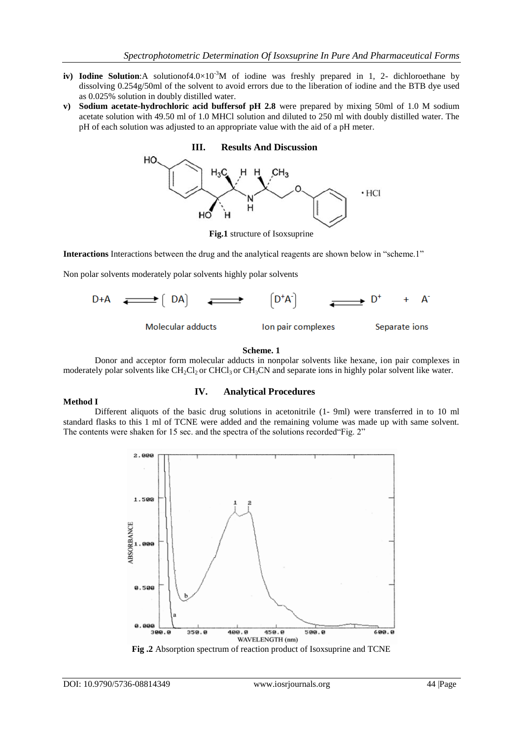- **iv) Iodine Solution:**A solutionof4.0×10<sup>-3</sup>M of iodine was freshly prepared in 1, 2- dichloroethane by dissolving 0.254g/50ml of the solvent to avoid errors due to the liberation of iodine and the BTB dye used as 0.025% solution in doubly distilled water.
- **v) Sodium acetate-hydrochloric acid buffersof pH 2.8** were prepared by mixing 50ml of 1.0 M sodium acetate solution with 49.50 ml of 1.0 MHCl solution and diluted to 250 ml with doubly distilled water. The pH of each solution was adjusted to an appropriate value with the aid of a pH meter.



**Fig.1** structure of Isoxsuprine

**Interactions** Interactions between the drug and the analytical reagents are shown below in "scheme.1"

Non polar solvents moderately polar solvents highly polar solvents



#### **Scheme. 1**

Donor and acceptor form molecular adducts in nonpolar solvents like hexane, ion pair complexes in moderately polar solvents like  $CH_2Cl_2$  or  $CHCl_3$  or  $CH_3CN$  and separate ions in highly polar solvent like water.

## **Method I**

## **IV. Analytical Procedures**

Different aliquots of the basic drug solutions in acetonitrile (1- 9ml) were transferred in to 10 ml standard flasks to this 1 ml of TCNE were added and the remaining volume was made up with same solvent. The contents were shaken for 15 sec. and the spectra of the solutions recorded"Fig. 2"



**Fig .2** Absorption spectrum of reaction product of Isoxsuprine and TCNE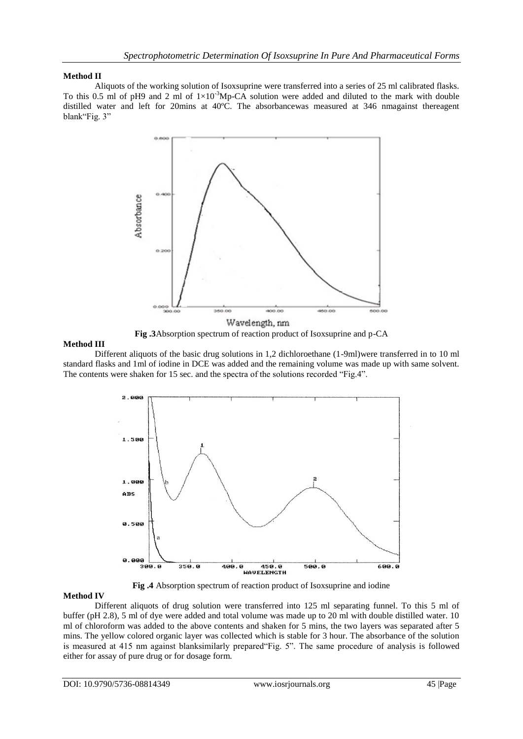#### **Method II**

Aliquots of the working solution of Isoxsuprine were transferred into a series of 25 ml calibrated flasks. To this 0.5 ml of pH9 and 2 ml of  $1\times10^{-3}$ Mp-CA solution were added and diluted to the mark with double distilled water and left for 20mins at 40ºC. The absorbancewas measured at 346 nmagainst thereagent blank"Fig. 3"





#### **Method III**

Different aliquots of the basic drug solutions in 1,2 dichloroethane (1-9ml)were transferred in to 10 ml standard flasks and 1ml of iodine in DCE was added and the remaining volume was made up with same solvent. The contents were shaken for 15 sec. and the spectra of the solutions recorded "Fig.4".



**Fig .4** Absorption spectrum of reaction product of Isoxsuprine and iodine

#### **Method IV**

Different aliquots of drug solution were transferred into 125 ml separating funnel. To this 5 ml of buffer (pH 2.8), 5 ml of dye were added and total volume was made up to 20 ml with double distilled water. 10 ml of chloroform was added to the above contents and shaken for 5 mins, the two layers was separated after 5 mins. The yellow colored organic layer was collected which is stable for 3 hour. The absorbance of the solution is measured at 415 nm against blanksimilarly prepared"Fig. 5". The same procedure of analysis is followed either for assay of pure drug or for dosage form.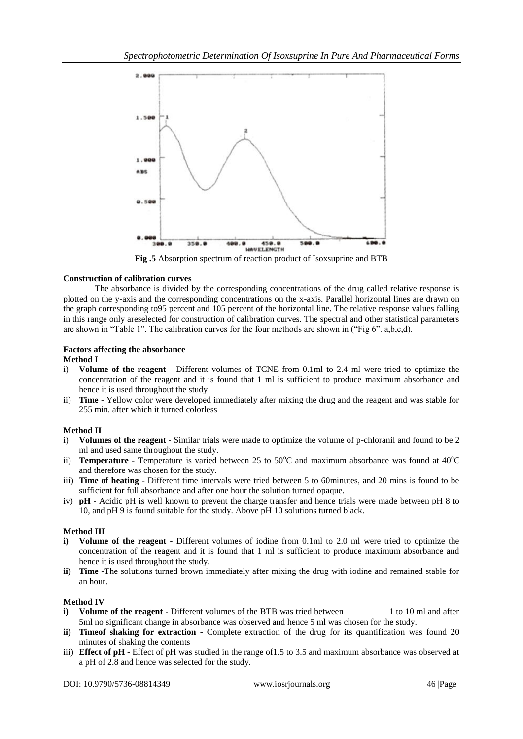

**Fig .5** Absorption spectrum of reaction product of Isoxsuprine and BTB

#### **Construction of calibration curves**

The absorbance is divided by the corresponding concentrations of the drug called relative response is plotted on the y-axis and the corresponding concentrations on the x-axis. Parallel horizontal lines are drawn on the graph corresponding to95 percent and 105 percent of the horizontal line. The relative response values falling in this range only areselected for construction of calibration curves. The spectral and other statistical parameters are shown in "Table 1". The calibration curves for the four methods are shown in ("Fig 6". a,b,c,d).

#### **Factors affecting the absorbance Method I**

- i) **Volume of the reagent** Different volumes of TCNE from 0.1ml to 2.4 ml were tried to optimize the concentration of the reagent and it is found that 1 ml is sufficient to produce maximum absorbance and hence it is used throughout the study
- ii) **Time** Yellow color were developed immediately after mixing the drug and the reagent and was stable for 255 min. after which it turned colorless

## **Method II**

- i) **Volumes of the reagent** Similar trials were made to optimize the volume of p-chloranil and found to be 2 ml and used same throughout the study.
- ii) **Temperature** Temperature is varied between 25 to 50°C and maximum absorbance was found at 40°C and therefore was chosen for the study.
- iii) **Time of heating**  Different time intervals were tried between 5 to 60minutes, and 20 mins is found to be sufficient for full absorbance and after one hour the solution turned opaque.
- iv) **pH** Acidic pH is well known to prevent the charge transfer and hence trials were made between pH 8 to 10, and pH 9 is found suitable for the study. Above pH 10 solutions turned black.

## **Method III**

- **i) Volume of the reagent -** Different volumes of iodine from 0.1ml to 2.0 ml were tried to optimize the concentration of the reagent and it is found that 1 ml is sufficient to produce maximum absorbance and hence it is used throughout the study.
- **ii) Time -**The solutions turned brown immediately after mixing the drug with iodine and remained stable for an hour.

#### **Method IV**

- **i) Volume of the reagent** Different volumes of the BTB was tried between 1 to 10 ml and after 5ml no significant change in absorbance was observed and hence 5 ml was chosen for the study.
- **ii) Timeof shaking for extraction -** Complete extraction of the drug for its quantification was found 20 minutes of shaking the contents
- iii) **Effect of pH -** Effect of pH was studied in the range of1.5 to 3.5 and maximum absorbance was observed at a pH of 2.8 and hence was selected for the study.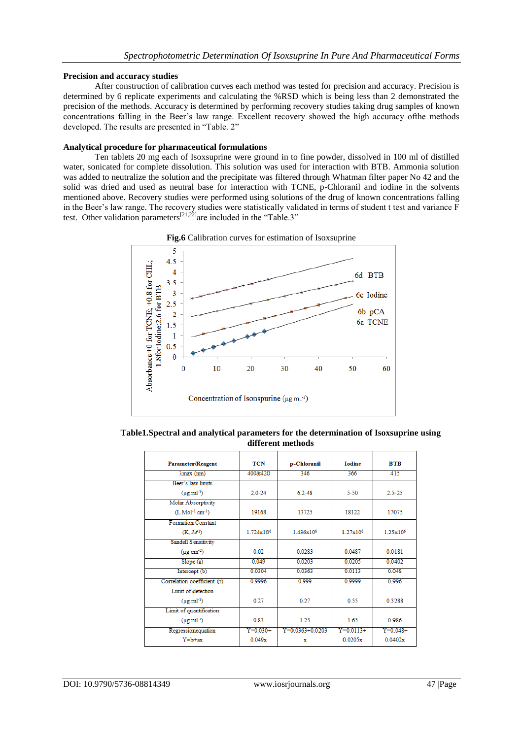#### **Precision and accuracy studies**

After construction of calibration curves each method was tested for precision and accuracy. Precision is determined by 6 replicate experiments and calculating the %RSD which is being less than 2 demonstrated the precision of the methods. Accuracy is determined by performing recovery studies taking drug samples of known concentrations falling in the Beer's law range. Excellent recovery showed the high accuracy ofthe methods developed. The results are presented in "Table. 2"

#### **Analytical procedure for pharmaceutical formulations**

Ten tablets 20 mg each of Isoxsuprine were ground in to fine powder, dissolved in 100 ml of distilled water, sonicated for complete dissolution. This solution was used for interaction with BTB. Ammonia solution was added to neutralize the solution and the precipitate was filtered through Whatman filter paper No 42 and the solid was dried and used as neutral base for interaction with TCNE, p-Chloranil and iodine in the solvents mentioned above. Recovery studies were performed using solutions of the drug of known concentrations falling in the Beer's law range. The recovery studies were statistically validated in terms of student t test and variance F test. Other validation parameters<sup>[21,22]</sup>are included in the "Table.3"



**Fig.6** Calibration curves for estimation of Isoxsuprine

**Table1.Spectral and analytical parameters for the determination of Isoxsuprine using different methods**

| Parameter/Reagent                         | TCN                   | p-Chloranil          | <b>I</b> odine     | <b>BTB</b>           |
|-------------------------------------------|-----------------------|----------------------|--------------------|----------------------|
| $\lambda$ max $(nm)$                      | 400&420               | 346                  | 366                | 415                  |
| Beer's law limits                         |                       |                      |                    |                      |
| $(\mu g \text{ ml}^{-1})$                 | $2.0 - 24$            | 6.2-48               | $5 - 50$           | 2.5-25               |
| <b>Molar Absorptivity</b>                 |                       |                      |                    |                      |
| $(L$ Mol <sup>-1</sup> cm <sup>-1</sup> ) | 19168                 | 13725                | 18122              | 17075                |
| <b>Formation Constant</b>                 |                       |                      |                    |                      |
| (K, M <sup>1</sup> )                      | 1 724x10 <sup>6</sup> | 1436x10 <sup>6</sup> | $1.27 \times 10^6$ | 1.25x10 <sup>6</sup> |
| <b>Sandell Sensitivity</b>                |                       |                      |                    |                      |
| $(\mu$ g cm <sup>-2</sup> )               | 0.02                  | 0.0283               | 0.0487             | 0.0181               |
| Slope(a)                                  | 0.049                 | 0.0203               | 0.0205             | 0.0402               |
| Intercept (b)                             | 0.0304                | 0.0363               | 0.0113             | 0.048                |
| Correlation coefficient (r)               | 0.9996                | 0.999                | 0.9999             | 0.996                |
| Limit of detection                        |                       |                      |                    |                      |
| $(\mu g \text{ ml}^{-1})$                 | 0.27                  | 0.27                 | 0.55               | 0.3288               |
| Limit of quantification                   |                       |                      |                    |                      |
| $(\mu g \text{ ml}^{-1})$                 | 0.83                  | 1.25                 | 1.65               | 0.986                |
| Regressionequation                        | $Y=0.030+$            | $Y=0.0363+0.0203$    | $Y=0.0113+$        | $Y = 0.048 +$        |
| $Y = b + ax$                              | 0.049x                | х                    | 0.0205x            | 0.0402x              |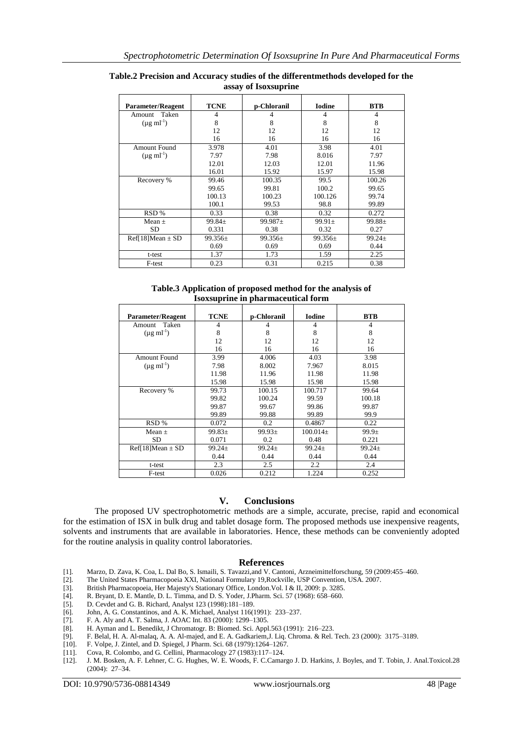| <b>Parameter/Reagent</b>  | <b>TCNE</b> | p-Chloranil  | <b>Iodine</b> | <b>BTB</b>  |
|---------------------------|-------------|--------------|---------------|-------------|
| Taken<br>Amount           | 4           | 4            | 4             | 4           |
| $(\mu g \text{ ml}^{-1})$ | 8           | 8            | 8             | 8           |
|                           | 12          | 12           | 12            | 12          |
|                           | 16          | 16           | 16            | 16          |
| <b>Amount Found</b>       | 3.978       | 4.01         | 3.98          | 4.01        |
| $(\mu g \text{ ml}^{-1})$ | 7.97        | 7.98         | 8.016         | 7.97        |
|                           | 12.01       | 12.03        | 12.01         | 11.96       |
|                           | 16.01       | 15.92        | 15.97         | 15.98       |
| Recovery %                | 99.46       | 100.35       | 99.5          | 100.26      |
|                           | 99.65       | 99.81        | 100.2         | 99.65       |
|                           | 100.13      | 100.23       | 100.126       | 99.74       |
|                           | 100.1       | 99.53        | 98.8          | 99.89       |
| RSD%                      | 0.33        | 0.38         | 0.32          | 0.272       |
| Mean $\pm$                | $99.84 \pm$ | $99.987 \pm$ | $99.91 \pm$   | $99.88 \pm$ |
| SD                        | 0.331       | 0.38         | 0.32          | 0.27        |
| $Ref[18]Mean \pm SD$      | $99.356\pm$ | $99.356\pm$  | $99.356\pm$   | $99.24 \pm$ |
|                           | 0.69        | 0.69         | 0.69          | 0.44        |
| t-test                    | 1.37        | 1.73         | 1.59          | 2.25        |
| F-test                    | 0.23        | 0.31         | 0.215         | 0.38        |

**Table.2 Precision and Accuracy studies of the differentmethods developed for the assay of Isoxsuprine**

**Table.3 Application of proposed method for the analysis of Isoxsuprine in pharmaceutical form**

| <b>Parameter/Reagent</b>  | <b>TCNE</b> | p-Chloranil | <b>Iodine</b> | <b>BTB</b>        |
|---------------------------|-------------|-------------|---------------|-------------------|
| Taken<br>Amount           | 4           |             | 4             | $\overline{4}$    |
| $(\mu g \text{ ml}^{-1})$ | 8           | 8           | 8             | 8                 |
|                           | 12          | 12          | 12            | 12                |
|                           | 16          | 16          | 16            | 16                |
| Amount Found              | 3.99        | 4.006       | 4.03          | 3.98              |
| $(\mu g \text{ ml}^{-1})$ | 7.98        | 8.002       | 7.967         | 8.015             |
|                           | 11.98       | 11.96       | 11.98         | 11.98             |
|                           | 15.98       | 15.98       | 15.98         | 15.98             |
| Recovery %                | 99.73       | 100.15      | 100.717       | 99.64             |
|                           | 99.82       | 100.24      | 99.59         | 100.18            |
|                           | 99.87       | 99.67       | 99.86         | 99.87             |
|                           | 99.89       | 99.88       | 99.89         | 99.9              |
| RSD %                     | 0.072       | 0.2         | 0.4867        | 0.22              |
| $Mean +$                  | $99.83 \pm$ | $99.93 \pm$ | $100.014\pm$  | 99.9 <sub>±</sub> |
| <b>SD</b>                 | 0.071       | 0.2         | 0.48          | 0.221             |
| $Ref[18]Mean \pm SD$      | $99.24 \pm$ | $99.24+$    | $99.24 \pm$   | $99.24+$          |
|                           | 0.44        | 0.44        | 0.44          | 0.44              |
| t-test                    | 2.3         | 2.5         | 2.2           | 2.4               |
| F-test                    | 0.026       | 0.212       | 1.224         | 0.252             |

#### **V. Conclusions**

The proposed UV spectrophotometric methods are a simple, accurate, precise, rapid and economical for the estimation of ISX in bulk drug and tablet dosage form. The proposed methods use inexpensive reagents, solvents and instruments that are available in laboratories. Hence, these methods can be conveniently adopted for the routine analysis in quality control laboratories.

#### **References**

- [1]. Marzo, D. Zava, K. Coa, L. Dal Bo, S. Ismaili, S. Tavazzi,and V. Cantoni, Arzneimittelforschung, 59 (2009:455–460.
- [2]. The United States Pharmacopoeia XXI, National Formulary 19,Rockville, USP Convention, USA. 2007.
- [3]. British Pharmacopoeia, Her Majesty's Stationary Office, London. Vol. I & II, 2009: p. 3285. [4]. R. Bryant, D. E. Mantle, D. L. Timma, and D. S. Yoder, J.Pharm. Sci. 57 (1968): 658–660.
- [4]. R. Bryant, D. E. Mantle, D. L. Timma, and D. S. Yoder, J.Pharm. Sci. 57 (1968): 658–660.
- [5]. D. Cevdet and G. B. Richard, Analyst 123 (1998):181–189.
- [6]. John, A. G. Constantinos, and A. K. Michael, Analyst 116(1991): 233–237.
- [7]. F. A. Aly and A. T. Salma, J. AOAC Int. 83 (2000): 1299–1305.
- H. Ayman and L. Benedikt, J Chromatogr. B: Biomed. Sci. Appl.563 (1991): 216–223.
- [9]. F. Belal, H. A. Al-malaq, A. A. Al-majed, and E. A. Gadkariem,J. Liq. Chroma. & Rel. Tech. 23 (2000): 3175–3189.
- [10]. F. Volpe, J. Zintel, and D. Spiegel, J Pharm. Sci. 68 (1979):1264–1267.
- [11]. Cova, R. Colombo, and G. Cellini, Pharmacology 27 (1983):117–124.
- [12]. J. M. Bosken, A. F. Lehner, C. G. Hughes, W. E. Woods, F. C.Camargo J. D. Harkins, J. Boyles, and T. Tobin, J. Anal.Toxicol.28 (2004): 27–34.